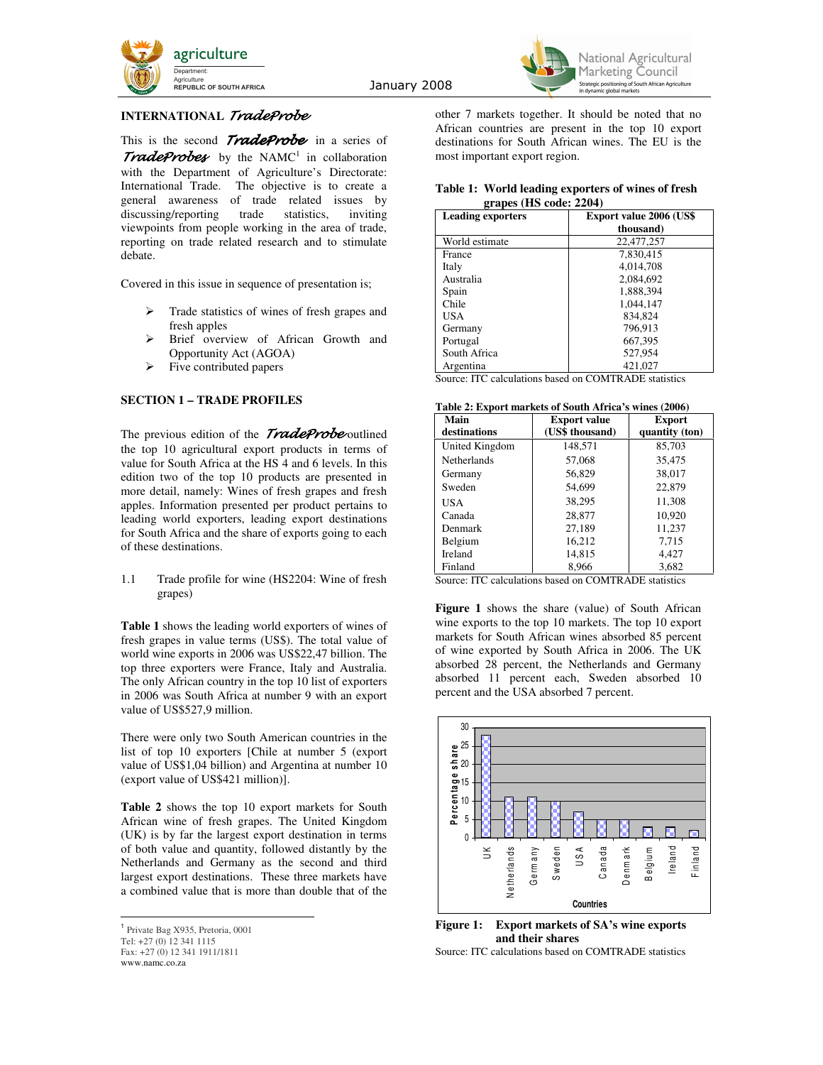



# **INTERNATIONAL** TradeProbe

This is the second **TradeProbe** in a series of **TradeProbes** by the NAMC<sup>1</sup> in collaboration with the Department of Agriculture's Directorate: International Trade. The objective is to create a general awareness of trade related issues by<br>discussing/reporting trade statistics, inviting discussing/reporting viewpoints from people working in the area of trade, reporting on trade related research and to stimulate debate.

Covered in this issue in sequence of presentation is;

- > Trade statistics of wines of fresh grapes and fresh apples
- Brief overview of African Growth and Opportunity Act (AGOA)
- $\triangleright$  Five contributed papers

# **SECTION 1 – TRADE PROFILES**

The previous edition of the **TradeProbe** outlined the top 10 agricultural export products in terms of value for South Africa at the HS 4 and 6 levels. In this edition two of the top 10 products are presented in more detail, namely: Wines of fresh grapes and fresh apples. Information presented per product pertains to leading world exporters, leading export destinations for South Africa and the share of exports going to each of these destinations.

1.1 Trade profile for wine (HS2204: Wine of fresh grapes)

**Table 1** shows the leading world exporters of wines of fresh grapes in value terms (US\$). The total value of world wine exports in 2006 was US\$22,47 billion. The top three exporters were France, Italy and Australia. The only African country in the top 10 list of exporters in 2006 was South Africa at number 9 with an export value of US\$527,9 million.

There were only two South American countries in the list of top 10 exporters [Chile at number 5 (export value of US\$1,04 billion) and Argentina at number 10 (export value of US\$421 million)].

**Table 2** shows the top 10 export markets for South African wine of fresh grapes. The United Kingdom (UK) is by far the largest export destination in terms of both value and quantity, followed distantly by the Netherlands and Germany as the second and third largest export destinations. These three markets have a combined value that is more than double that of the

other 7 markets together. It should be noted that no African countries are present in the top 10 export destinations for South African wines. The EU is the most important export region.

## **Table 1: World leading exporters of wines of fresh grapes (HS code: 2204)**

| <b>Leading exporters</b> | <b>Export value 2006 (US\$</b> |  |  |
|--------------------------|--------------------------------|--|--|
|                          | thousand)                      |  |  |
| World estimate           | 22,477,257                     |  |  |
| France                   | 7.830.415                      |  |  |
| Italy                    | 4,014,708                      |  |  |
| Australia                | 2,084,692                      |  |  |
| Spain                    | 1.888.394                      |  |  |
| Chile                    | 1,044,147                      |  |  |
| USA                      | 834.824                        |  |  |
| Germany                  | 796,913                        |  |  |
| Portugal                 | 667,395                        |  |  |
| South Africa             | 527,954                        |  |  |
| Argentina                | 421,027                        |  |  |

Source: ITC calculations based on COMTRADE statistics

## **Table 2: Export markets of South Africa's wines (2006)**

| Main           | <b>Export value</b> |                |
|----------------|---------------------|----------------|
| destinations   | (US\$ thousand)     | quantity (ton) |
| United Kingdom | 148,571             | 85,703         |
| Netherlands    | 57,068              | 35,475         |
| Germany        | 56,829              | 38,017         |
| Sweden         | 54,699              | 22,879         |
| USA            | 38,295              | 11,308         |
| Canada         | 28.877              | 10.920         |
| <b>Denmark</b> | 27,189              | 11,237         |
| Belgium        | 16,212              | 7.715          |
| Ireland        | 14,815              | 4.427          |
| Finland        | 8.966               | 3.682          |

Source: ITC calculations based on COMTRADE statistics

**Figure 1** shows the share (value) of South African wine exports to the top 10 markets. The top 10 export markets for South African wines absorbed 85 percent of wine exported by South Africa in 2006. The UK absorbed 28 percent, the Netherlands and Germany absorbed 11 percent each, Sweden absorbed 10 percent and the USA absorbed 7 percent.



**Figure 1: Export markets of SA's wine exports and their shares** 

Source: ITC calculations based on COMTRADE statistics

 1 Private Bag X935, Pretoria, 0001 Tel: +27 (0) 12 341 1115 Fax: +27 (0) 12 341 1911/1811 www.namc.co.za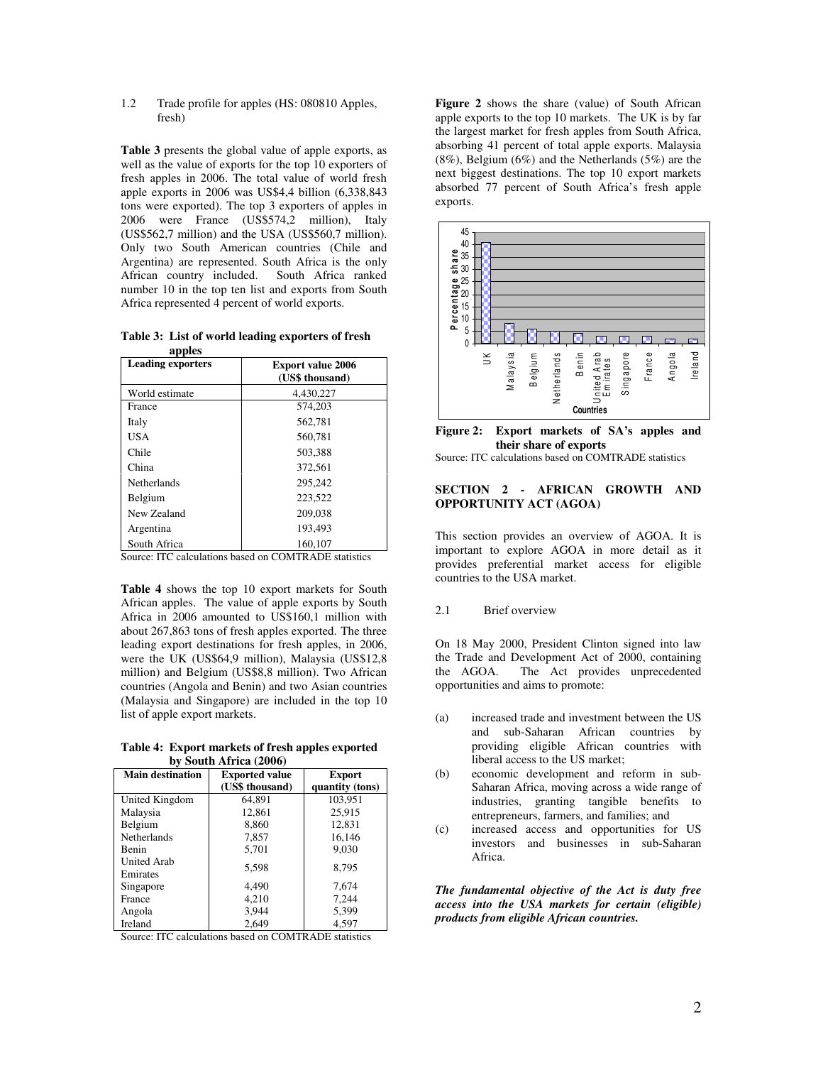1.2 Trade profile for apples (HS: 080810 Apples, fresh)

**Table 3** presents the global value of apple exports, as well as the value of exports for the top 10 exporters of fresh apples in 2006. The total value of world fresh apple exports in 2006 was US\$4,4 billion (6,338,843 tons were exported). The top 3 exporters of apples in 2006 were France (US\$574,2 million), Italy (US\$562,7 million) and the USA (US\$560,7 million). Only two South American countries (Chile and Argentina) are represented. South Africa is the only African country included. South Africa ranked African country included. number 10 in the top ten list and exports from South Africa represented 4 percent of world exports.

|        | Table 3: List of world leading exporters of fresh |  |
|--------|---------------------------------------------------|--|
| annlac |                                                   |  |

| <b>Leading exporters</b> | <b>Export value 2006</b><br>(US\$ thousand) |  |
|--------------------------|---------------------------------------------|--|
| World estimate           | 4.430.227                                   |  |
| France                   | 574,203                                     |  |
| Italy                    | 562,781                                     |  |
| USA                      | 560,781                                     |  |
| Chile                    | 503.388                                     |  |
| China                    | 372.561                                     |  |
| Netherlands              | 295.242                                     |  |
| Belgium                  | 223.522                                     |  |
| New Zealand              | 209,038                                     |  |
| Argentina                | 193.493                                     |  |
| South Africa             | 160.107                                     |  |

Source: ITC calculations based on COMTRADE statistics

**Table 4** shows the top 10 export markets for South African apples. The value of apple exports by South Africa in 2006 amounted to US\$160,1 million with about 267,863 tons of fresh apples exported. The three leading export destinations for fresh apples, in 2006, were the UK (US\$64,9 million), Malaysia (US\$12,8 million) and Belgium (US\$8,8 million). Two African countries (Angola and Benin) and two Asian countries (Malaysia and Singapore) are included in the top 10 list of apple export markets.

**Table 4: Export markets of fresh apples exported by South Africa (2006)** 

| <b>Main destination</b> | <b>Exported value</b><br>(US\$ thousand) | <b>Export</b><br>quantity (tons) |  |  |
|-------------------------|------------------------------------------|----------------------------------|--|--|
| United Kingdom          | 64.891                                   | 103,951                          |  |  |
| Malaysia                | 12,861                                   | 25,915                           |  |  |
| Belgium                 | 8,860                                    | 12.831                           |  |  |
| <b>Netherlands</b>      | 7.857                                    | 16,146                           |  |  |
| <b>Benin</b>            | 5,701                                    | 9.030                            |  |  |
| United Arab<br>Emirates | 5,598                                    | 8.795                            |  |  |
| Singapore               | 4.490                                    | 7,674                            |  |  |
| France                  | 4.210                                    | 7.244                            |  |  |
| Angola                  | 3,944                                    | 5,399                            |  |  |
| Ireland                 | 2.649                                    | 4.597                            |  |  |

Source: ITC calculations based on COMTRADE statistics

**Figure 2** shows the share (value) of South African apple exports to the top 10 markets. The UK is by far the largest market for fresh apples from South Africa, absorbing 41 percent of total apple exports. Malaysia (8%), Belgium (6%) and the Netherlands (5%) are the next biggest destinations. The top 10 export markets absorbed 77 percent of South Africa's fresh apple exports.



**Figure 2: Export markets of SA's apples and their share of exports** 

Source: ITC calculations based on COMTRADE statistics

### **SECTION 2 - AFRICAN GROWTH AND OPPORTUNITY ACT (AGOA)**

This section provides an overview of AGOA. It is important to explore AGOA in more detail as it provides preferential market access for eligible countries to the USA market.

### 2.1 Brief overview

On 18 May 2000, President Clinton signed into law the Trade and Development Act of 2000, containing the AGOA. The Act provides unprecedented opportunities and aims to promote:

- (a) increased trade and investment between the US and sub-Saharan African countries by providing eligible African countries with liberal access to the US market;
- (b) economic development and reform in sub-Saharan Africa, moving across a wide range of industries, granting tangible benefits to entrepreneurs, farmers, and families; and
- (c) increased access and opportunities for US investors and businesses in sub-Saharan Africa.

*The fundamental objective of the Act is duty free access into the USA markets for certain (eligible) products from eligible African countries.*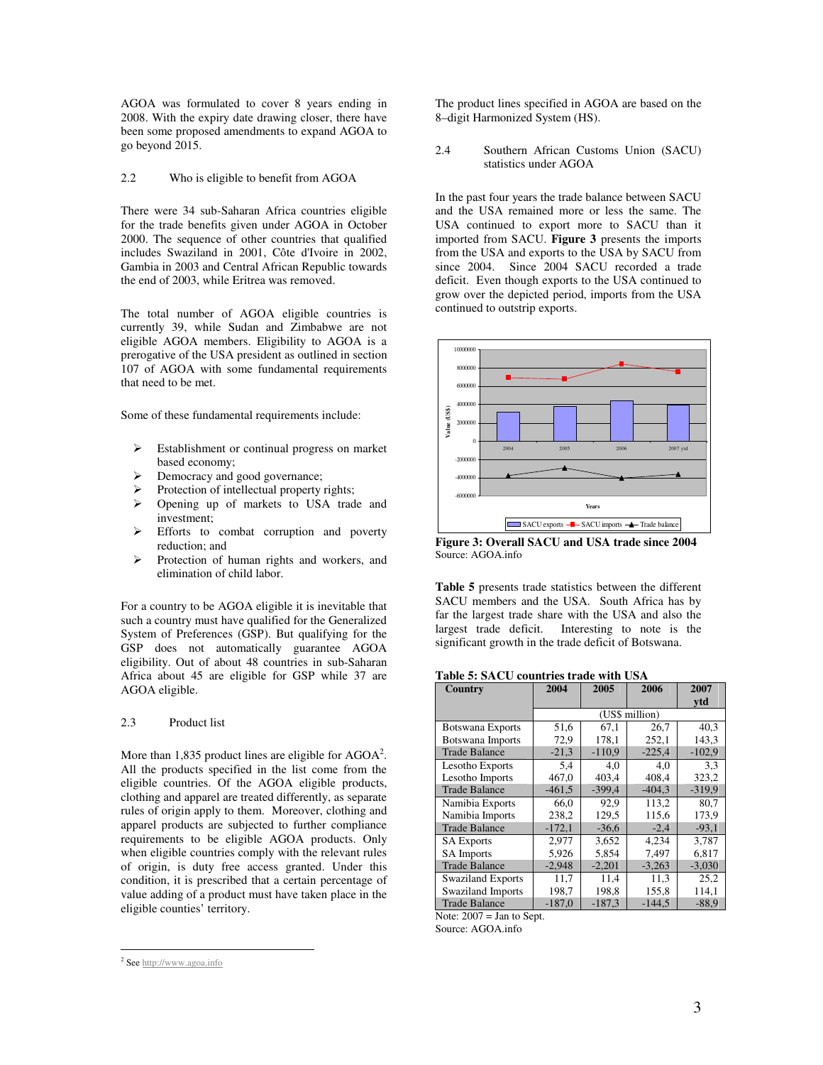AGOA was formulated to cover 8 years ending in 2008. With the expiry date drawing closer, there have been some proposed amendments to expand AGOA to go beyond 2015.

## 2.2 Who is eligible to benefit from AGOA

There were 34 sub-Saharan Africa countries eligible for the trade benefits given under AGOA in October 2000. The sequence of other countries that qualified includes Swaziland in 2001, Côte d'Ivoire in 2002, Gambia in 2003 and Central African Republic towards the end of 2003, while Eritrea was removed.

The total number of AGOA eligible countries is currently 39, while Sudan and Zimbabwe are not eligible AGOA members. Eligibility to AGOA is a prerogative of the USA president as outlined in section 107 of AGOA with some fundamental requirements that need to be met.

Some of these fundamental requirements include:

- $\triangleright$  Establishment or continual progress on market based economy;
- Democracy and good governance;
- Protection of intellectual property rights;
- Opening up of markets to USA trade and investment;
- $\triangleright$  Efforts to combat corruption and poverty reduction; and
- $\triangleright$  Protection of human rights and workers, and elimination of child labor.

For a country to be AGOA eligible it is inevitable that such a country must have qualified for the Generalized System of Preferences (GSP). But qualifying for the GSP does not automatically guarantee AGOA eligibility. Out of about 48 countries in sub-Saharan Africa about 45 are eligible for GSP while 37 are AGOA eligible.

# 2.3 Product list

More than 1,835 product lines are eligible for  $AGOA<sup>2</sup>$ . All the products specified in the list come from the eligible countries. Of the AGOA eligible products, clothing and apparel are treated differently, as separate rules of origin apply to them. Moreover, clothing and apparel products are subjected to further compliance requirements to be eligible AGOA products. Only when eligible countries comply with the relevant rules of origin, is duty free access granted. Under this condition, it is prescribed that a certain percentage of value adding of a product must have taken place in the eligible counties' territory.

The product lines specified in AGOA are based on the 8–digit Harmonized System (HS).

## 2.4 Southern African Customs Union (SACU) statistics under AGOA

In the past four years the trade balance between SACU and the USA remained more or less the same. The USA continued to export more to SACU than it imported from SACU. **Figure 3** presents the imports from the USA and exports to the USA by SACU from since 2004. Since 2004 SACU recorded a trade deficit. Even though exports to the USA continued to grow over the depicted period, imports from the USA continued to outstrip exports.



**Figure 3: Overall SACU and USA trade since 2004**  Source: AGOA.info

**Table 5** presents trade statistics between the different SACU members and the USA. South Africa has by far the largest trade share with the USA and also the largest trade deficit. Interesting to note is the significant growth in the trade deficit of Botswana.

# **Table 5: SACU countries trade with USA**

| Country                  | 2004<br>2005<br>2006<br>2007 |          |                |          |
|--------------------------|------------------------------|----------|----------------|----------|
|                          |                              |          |                | ytd      |
|                          |                              |          | (US\$ million) |          |
| Botswana Exports         | 51,6                         | 67.1     | 26.7           | 40,3     |
| Botswana Imports         | 72,9                         | 178,1    | 252,1          | 143,3    |
| <b>Trade Balance</b>     | $-21,3$                      | $-110.9$ | $-225,4$       | $-102.9$ |
| Lesotho Exports          | 5.4                          | 4,0      | 4.0            | 3.3      |
| Lesotho Imports          | 467,0                        | 403,4    | 408.4          | 323,2    |
| <b>Trade Balance</b>     | $-461,5$                     | $-399.4$ | $-404.3$       | $-319.9$ |
| Namibia Exports          | 66.0                         | 92.9     | 113,2          | 80.7     |
| Namibia Imports          | 238,2                        | 129,5    | 115,6          | 173,9    |
| <b>Trade Balance</b>     | $-172,1$                     | $-36,6$  | $-2,4$         | $-93.1$  |
| <b>SA Exports</b>        | 2.977                        | 3,652    | 4,234          | 3,787    |
| <b>SA</b> Imports        | 5,926                        | 5.854    | 7.497          | 6.817    |
| <b>Trade Balance</b>     | $-2,948$                     | $-2,201$ | $-3,263$       | $-3,030$ |
| <b>Swaziland Exports</b> | 11,7                         | 11.4     | 11,3           | 25,2     |
| Swaziland Imports        | 198,7                        | 198.8    | 155,8          | 114,1    |
| <b>Trade Balance</b>     | $-187.0$                     | $-187.3$ | $-144.5$       | $-88.9$  |

Note:  $2007 =$  Jan to Sept.

Source: AGOA.info

 $\overline{a}$ <sup>2</sup> See http://www.agoa.info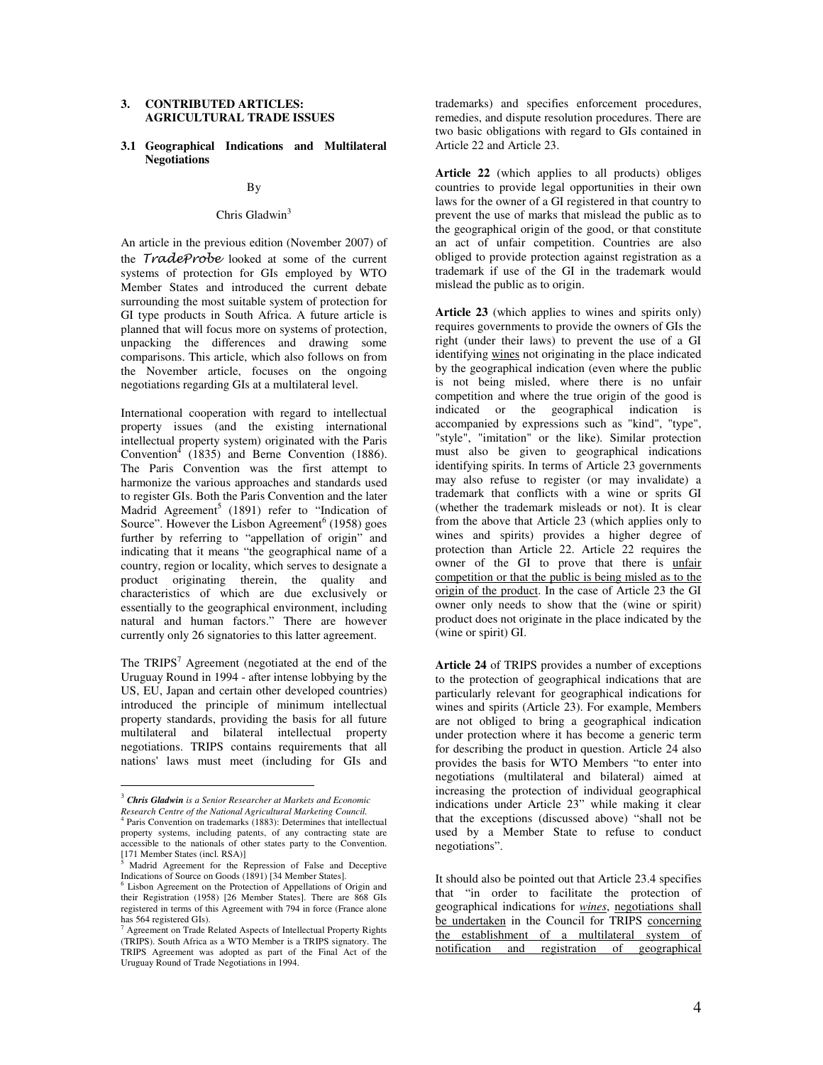## **3. CONTRIBUTED ARTICLES: AGRICULTURAL TRADE ISSUES**

## **3.1 Geographical Indications and Multilateral Negotiations**

#### By

## Chris Gladwin<sup>3</sup>

An article in the previous edition (November 2007) of the TradeProbe looked at some of the current systems of protection for GIs employed by WTO Member States and introduced the current debate surrounding the most suitable system of protection for GI type products in South Africa. A future article is planned that will focus more on systems of protection, unpacking the differences and drawing some comparisons. This article, which also follows on from the November article, focuses on the ongoing negotiations regarding GIs at a multilateral level.

International cooperation with regard to intellectual property issues (and the existing international intellectual property system) originated with the Paris Convention<sup>4</sup> (1835) and Berne Convention (1886). The Paris Convention was the first attempt to harmonize the various approaches and standards used to register GIs. Both the Paris Convention and the later Madrid Agreement<sup>5</sup> (1891) refer to "Indication of Source". However the Lisbon Agreement<sup>6</sup> (1958) goes further by referring to "appellation of origin" and indicating that it means "the geographical name of a country, region or locality, which serves to designate a product originating therein, the quality and characteristics of which are due exclusively or essentially to the geographical environment, including natural and human factors." There are however currently only 26 signatories to this latter agreement.

The TRIPS<sup>7</sup> Agreement (negotiated at the end of the Uruguay Round in 1994 - after intense lobbying by the US, EU, Japan and certain other developed countries) introduced the principle of minimum intellectual property standards, providing the basis for all future multilateral and bilateral intellectual property negotiations. TRIPS contains requirements that all nations' laws must meet (including for GIs and

 $\overline{a}$ 

trademarks) and specifies enforcement procedures, remedies, and dispute resolution procedures. There are two basic obligations with regard to GIs contained in Article 22 and Article 23.

**Article 22** (which applies to all products) obliges countries to provide legal opportunities in their own laws for the owner of a GI registered in that country to prevent the use of marks that mislead the public as to the geographical origin of the good, or that constitute an act of unfair competition. Countries are also obliged to provide protection against registration as a trademark if use of the GI in the trademark would mislead the public as to origin.

**Article 23** (which applies to wines and spirits only) requires governments to provide the owners of GIs the right (under their laws) to prevent the use of a GI identifying wines not originating in the place indicated by the geographical indication (even where the public is not being misled, where there is no unfair competition and where the true origin of the good is indicated or the geographical indication is accompanied by expressions such as "kind", "type", "style", "imitation" or the like). Similar protection must also be given to geographical indications identifying spirits. In terms of Article 23 governments may also refuse to register (or may invalidate) a trademark that conflicts with a wine or sprits GI (whether the trademark misleads or not). It is clear from the above that Article 23 (which applies only to wines and spirits) provides a higher degree of protection than Article 22. Article 22 requires the owner of the GI to prove that there is unfair competition or that the public is being misled as to the origin of the product. In the case of Article 23 the GI owner only needs to show that the (wine or spirit) product does not originate in the place indicated by the (wine or spirit) GI.

**Article 24** of TRIPS provides a number of exceptions to the protection of geographical indications that are particularly relevant for geographical indications for wines and spirits (Article 23). For example, Members are not obliged to bring a geographical indication under protection where it has become a generic term for describing the product in question. Article 24 also provides the basis for WTO Members "to enter into negotiations (multilateral and bilateral) aimed at increasing the protection of individual geographical indications under Article 23" while making it clear that the exceptions (discussed above) "shall not be used by a Member State to refuse to conduct negotiations".

<sup>3</sup> *Chris Gladwin is a Senior Researcher at Markets and Economic* 

*Research Centre of the National Agricultural Marketing Council.*<br><sup>4</sup> Paris Convention on trademarks (1883): Determines that intelle Paris Convention on trademarks (1883): Determines that intellectual property systems, including patents, of any contracting state are accessible to the nationals of other states party to the Convention. [171 Member States (incl. RSA)]

<sup>5</sup> Madrid Agreement for the Repression of False and Deceptive Indications of Source on Goods (1891) [34 Member States].

<sup>6</sup> Lisbon Agreement on the Protection of Appellations of Origin and their Registration (1958) [26 Member States]. There are 868 GIs registered in terms of this Agreement with 794 in force (France alone has 564 registered GIs).

<sup>7</sup> Agreement on Trade Related Aspects of Intellectual Property Rights (TRIPS). South Africa as a WTO Member is a TRIPS signatory. The TRIPS Agreement was adopted as part of the Final Act of the Uruguay Round of Trade Negotiations in 1994.

It should also be pointed out that Article 23.4 specifies that "in order to facilitate the protection of geographical indications for *wines*, negotiations shall be undertaken in the Council for TRIPS concerning the establishment of a multilateral system of notification and registration of geographical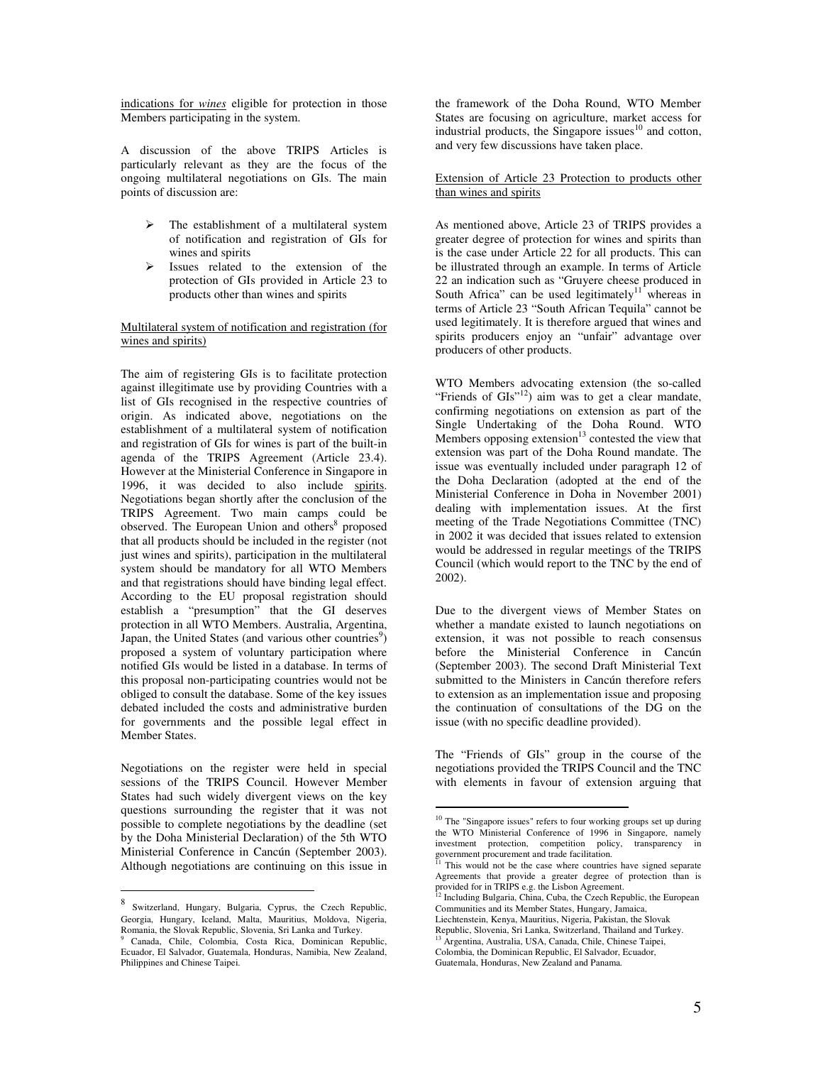indications for *wines* eligible for protection in those Members participating in the system.

A discussion of the above TRIPS Articles is particularly relevant as they are the focus of the ongoing multilateral negotiations on GIs. The main points of discussion are:

- $\triangleright$  The establishment of a multilateral system of notification and registration of GIs for wines and spirits
- $\triangleright$  Issues related to the extension of the protection of GIs provided in Article 23 to products other than wines and spirits

## Multilateral system of notification and registration (for wines and spirits)

The aim of registering GIs is to facilitate protection against illegitimate use by providing Countries with a list of GIs recognised in the respective countries of origin. As indicated above, negotiations on the establishment of a multilateral system of notification and registration of GIs for wines is part of the built-in agenda of the TRIPS Agreement (Article 23.4). However at the Ministerial Conference in Singapore in 1996, it was decided to also include spirits. Negotiations began shortly after the conclusion of the TRIPS Agreement. Two main camps could be observed. The European Union and others<sup>8</sup> proposed that all products should be included in the register (not just wines and spirits), participation in the multilateral system should be mandatory for all WTO Members and that registrations should have binding legal effect. According to the EU proposal registration should establish a "presumption" that the GI deserves protection in all WTO Members. Australia, Argentina, Japan, the United States (and various other countries<sup>9</sup>) proposed a system of voluntary participation where notified GIs would be listed in a database. In terms of this proposal non-participating countries would not be obliged to consult the database. Some of the key issues debated included the costs and administrative burden for governments and the possible legal effect in Member States.

Negotiations on the register were held in special sessions of the TRIPS Council. However Member States had such widely divergent views on the key questions surrounding the register that it was not possible to complete negotiations by the deadline (set by the Doha Ministerial Declaration) of the 5th WTO Ministerial Conference in Cancún (September 2003). Although negotiations are continuing on this issue in

the framework of the Doha Round, WTO Member States are focusing on agriculture, market access for industrial products, the Singapore issues<sup>10</sup> and cotton, and very few discussions have taken place.

## Extension of Article 23 Protection to products other than wines and spirits

As mentioned above, Article 23 of TRIPS provides a greater degree of protection for wines and spirits than is the case under Article 22 for all products. This can be illustrated through an example. In terms of Article 22 an indication such as "Gruyere cheese produced in South Africa" can be used legitimately<sup>11</sup> whereas in terms of Article 23 "South African Tequila" cannot be used legitimately. It is therefore argued that wines and spirits producers enjoy an "unfair" advantage over producers of other products.

WTO Members advocating extension (the so-called "Friends of  $GIs$ "<sup>12</sup>) aim was to get a clear mandate, confirming negotiations on extension as part of the Single Undertaking of the Doha Round. WTO Members opposing extension $13$  contested the view that extension was part of the Doha Round mandate. The issue was eventually included under paragraph 12 of the Doha Declaration (adopted at the end of the Ministerial Conference in Doha in November 2001) dealing with implementation issues. At the first meeting of the Trade Negotiations Committee (TNC) in 2002 it was decided that issues related to extension would be addressed in regular meetings of the TRIPS Council (which would report to the TNC by the end of 2002).

Due to the divergent views of Member States on whether a mandate existed to launch negotiations on extension, it was not possible to reach consensus before the Ministerial Conference in Cancún (September 2003). The second Draft Ministerial Text submitted to the Ministers in Cancún therefore refers to extension as an implementation issue and proposing the continuation of consultations of the DG on the issue (with no specific deadline provided).

The "Friends of GIs" group in the course of the negotiations provided the TRIPS Council and the TNC with elements in favour of extension arguing that

<u>.</u>

 8 Switzerland, Hungary, Bulgaria, Cyprus, the Czech Republic, Georgia, Hungary, Iceland, Malta, Mauritius, Moldova, Nigeria, Romania, the Slovak Republic, Slovenia, Sri Lanka and Turkey.<br><sup>9</sup> Canada Chila, Colombia, Costa, Bias, Dominican, Ban

Canada, Chile, Colombia, Costa Rica, Dominican Republic, Ecuador, El Salvador, Guatemala, Honduras, Namibia, New Zealand, Philippines and Chinese Taipei.

 $10$  The "Singapore issues" refers to four working groups set up during the WTO Ministerial Conference of 1996 in Singapore, namely investment protection, competition policy, transparency in government procurement and trade facilitation. <sup>11</sup> This would not be the case where countries have signed separate

Agreements that provide a greater degree of protection than is provided for in TRIPS e.g. the Lisbon Agreement.

Including Bulgaria, China, Cuba, the Czech Republic, the European Communities and its Member States, Hungary, Jamaica,

Liechtenstein, Kenya, Mauritius, Nigeria, Pakistan, the Slovak Republic, Slovenia, Sri Lanka, Switzerland, Thailand and Turkey.

<sup>13</sup> Argentina, Australia, USA, Canada, Chile, Chinese Taipei, Colombia, the Dominican Republic, El Salvador, Ecuador,

Guatemala, Honduras, New Zealand and Panama*.*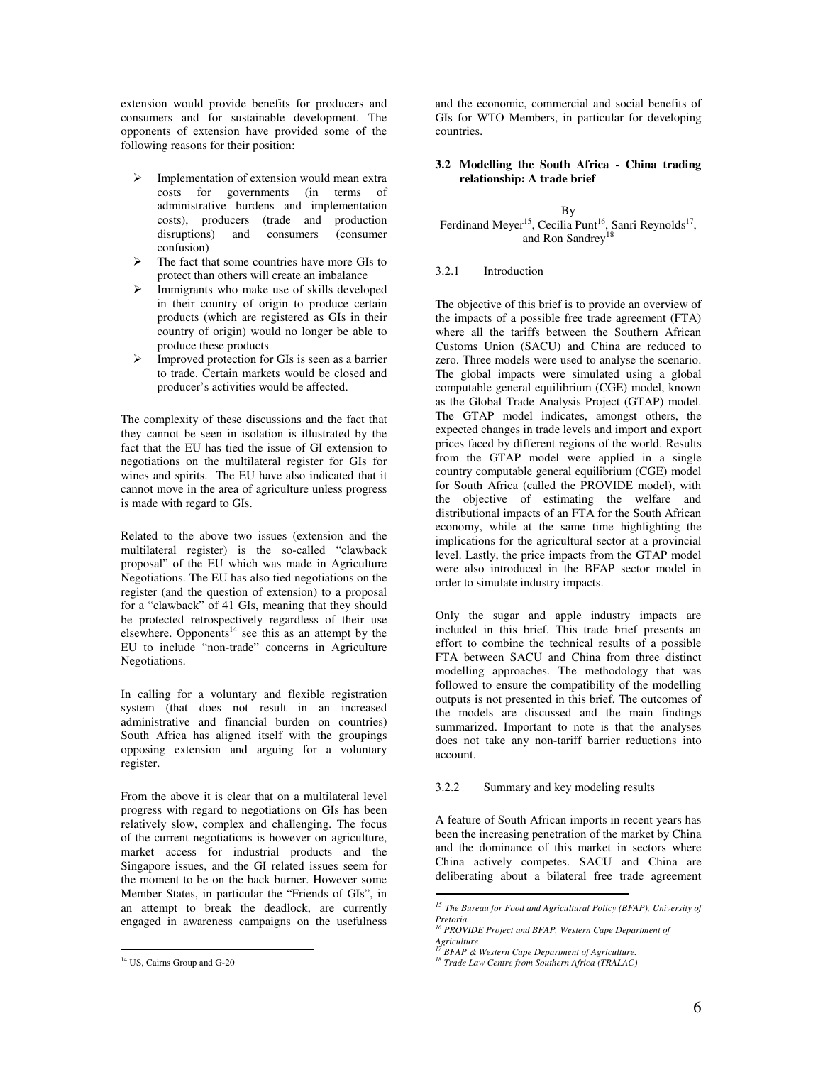extension would provide benefits for producers and consumers and for sustainable development. The opponents of extension have provided some of the following reasons for their position:

- $\triangleright$  Implementation of extension would mean extra costs for governments (in terms of administrative burdens and implementation costs), producers (trade and production costs), producers (trade and disruptions) and consumers (consumer confusion)
- $\triangleright$  The fact that some countries have more GIs to protect than others will create an imbalance
- > Immigrants who make use of skills developed in their country of origin to produce certain products (which are registered as GIs in their country of origin) would no longer be able to produce these products
- $\triangleright$  Improved protection for GIs is seen as a barrier to trade. Certain markets would be closed and producer's activities would be affected.

The complexity of these discussions and the fact that they cannot be seen in isolation is illustrated by the fact that the EU has tied the issue of GI extension to negotiations on the multilateral register for GIs for wines and spirits. The EU have also indicated that it cannot move in the area of agriculture unless progress is made with regard to GIs.

Related to the above two issues (extension and the multilateral register) is the so-called "clawback proposal" of the EU which was made in Agriculture Negotiations. The EU has also tied negotiations on the register (and the question of extension) to a proposal for a "clawback" of 41 GIs, meaning that they should be protected retrospectively regardless of their use elsewhere. Opponents<sup>14</sup> see this as an attempt by the EU to include "non-trade" concerns in Agriculture Negotiations.

In calling for a voluntary and flexible registration system (that does not result in an increased administrative and financial burden on countries) South Africa has aligned itself with the groupings opposing extension and arguing for a voluntary register.

From the above it is clear that on a multilateral level progress with regard to negotiations on GIs has been relatively slow, complex and challenging. The focus of the current negotiations is however on agriculture, market access for industrial products and the Singapore issues, and the GI related issues seem for the moment to be on the back burner. However some Member States, in particular the "Friends of GIs", in an attempt to break the deadlock, are currently engaged in awareness campaigns on the usefulness

 $\overline{a}$ 

and the economic, commercial and social benefits of GIs for WTO Members, in particular for developing countries.

## **3.2 Modelling the South Africa - China trading relationship: A trade brief**

By Ferdinand Meyer<sup>15</sup>, Cecilia Punt<sup>16</sup>, Sanri Reynolds<sup>17</sup>, and Ron Sandrey<sup>18</sup>

# 3.2.1 Introduction

The objective of this brief is to provide an overview of the impacts of a possible free trade agreement (FTA) where all the tariffs between the Southern African Customs Union (SACU) and China are reduced to zero. Three models were used to analyse the scenario. The global impacts were simulated using a global computable general equilibrium (CGE) model, known as the Global Trade Analysis Project (GTAP) model. The GTAP model indicates, amongst others, the expected changes in trade levels and import and export prices faced by different regions of the world. Results from the GTAP model were applied in a single country computable general equilibrium (CGE) model for South Africa (called the PROVIDE model), with the objective of estimating the welfare and distributional impacts of an FTA for the South African economy, while at the same time highlighting the implications for the agricultural sector at a provincial level. Lastly, the price impacts from the GTAP model were also introduced in the BFAP sector model in order to simulate industry impacts.

Only the sugar and apple industry impacts are included in this brief. This trade brief presents an effort to combine the technical results of a possible FTA between SACU and China from three distinct modelling approaches. The methodology that was followed to ensure the compatibility of the modelling outputs is not presented in this brief. The outcomes of the models are discussed and the main findings summarized. Important to note is that the analyses does not take any non-tariff barrier reductions into account.

## 3.2.2 Summary and key modeling results

A feature of South African imports in recent years has been the increasing penetration of the market by China and the dominance of this market in sectors where China actively competes. SACU and China are deliberating about a bilateral free trade agreement

<u>.</u>

<sup>&</sup>lt;sup>14</sup> US, Cairns Group and G-20

*<sup>15</sup> The Bureau for Food and Agricultural Policy (BFAP), University of Pretoria.* 

*<sup>16</sup> PROVIDE Project and BFAP, Western Cape Department of Agriculture* 

*<sup>17</sup> BFAP & Western Cape Department of Agriculture.* 

*<sup>18</sup> Trade Law Centre from Southern Africa (TRALAC)*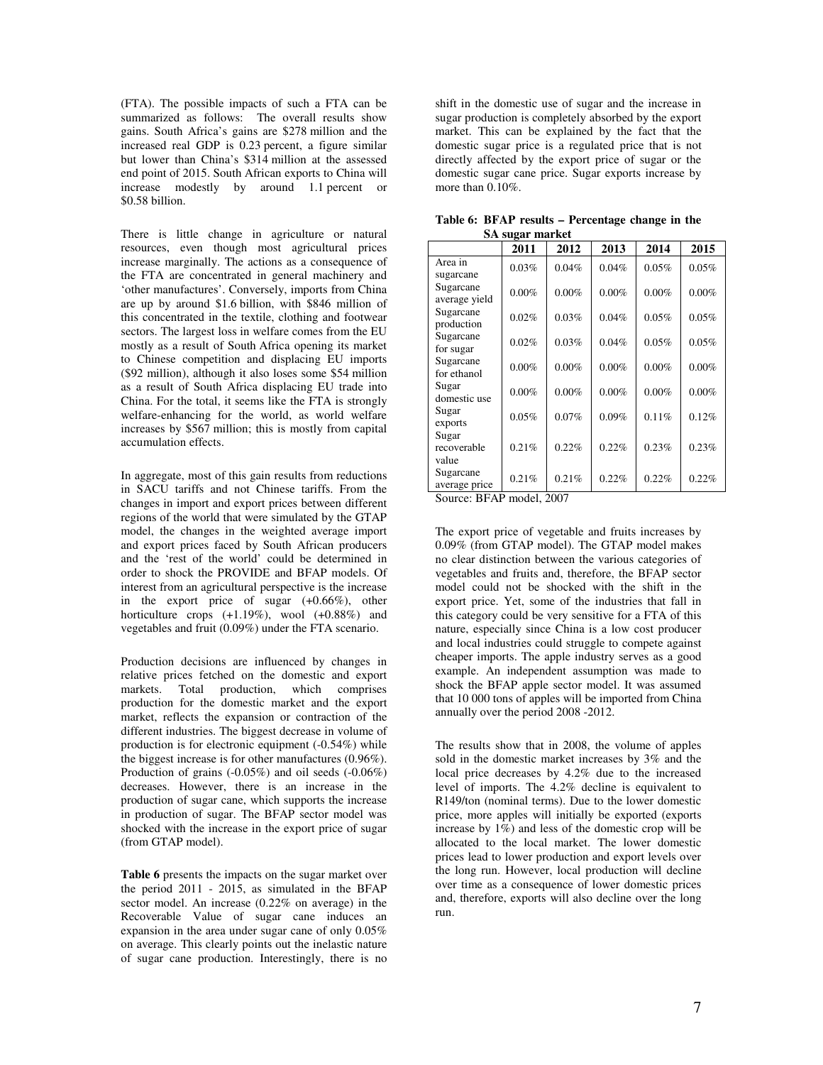(FTA). The possible impacts of such a FTA can be summarized as follows: The overall results show gains. South Africa's gains are \$278 million and the increased real GDP is 0.23 percent, a figure similar but lower than China's \$314 million at the assessed end point of 2015. South African exports to China will increase modestly by around 1.1 percent or \$0.58 billion.

There is little change in agriculture or natural resources, even though most agricultural prices increase marginally. The actions as a consequence of the FTA are concentrated in general machinery and 'other manufactures'. Conversely, imports from China are up by around \$1.6 billion, with \$846 million of this concentrated in the textile, clothing and footwear sectors. The largest loss in welfare comes from the EU mostly as a result of South Africa opening its market to Chinese competition and displacing EU imports (\$92 million), although it also loses some \$54 million as a result of South Africa displacing EU trade into China. For the total, it seems like the FTA is strongly welfare-enhancing for the world, as world welfare increases by \$567 million; this is mostly from capital accumulation effects.

In aggregate, most of this gain results from reductions in SACU tariffs and not Chinese tariffs. From the changes in import and export prices between different regions of the world that were simulated by the GTAP model, the changes in the weighted average import and export prices faced by South African producers and the 'rest of the world' could be determined in order to shock the PROVIDE and BFAP models. Of interest from an agricultural perspective is the increase in the export price of sugar (+0.66%), other horticulture crops  $(+1.19\%)$ , wool  $(+0.88\%)$  and vegetables and fruit (0.09%) under the FTA scenario.

Production decisions are influenced by changes in relative prices fetched on the domestic and export<br>markets. Total production, which comprises markets. Total production, which comprises production for the domestic market and the export market, reflects the expansion or contraction of the different industries. The biggest decrease in volume of production is for electronic equipment (-0.54%) while the biggest increase is for other manufactures (0.96%). Production of grains (-0.05%) and oil seeds (-0.06%) decreases. However, there is an increase in the production of sugar cane, which supports the increase in production of sugar. The BFAP sector model was shocked with the increase in the export price of sugar (from GTAP model).

**Table 6** presents the impacts on the sugar market over the period 2011 - 2015, as simulated in the BFAP sector model. An increase (0.22% on average) in the Recoverable Value of sugar cane induces an expansion in the area under sugar cane of only 0.05% on average. This clearly points out the inelastic nature of sugar cane production. Interestingly, there is no

shift in the domestic use of sugar and the increase in sugar production is completely absorbed by the export market. This can be explained by the fact that the domestic sugar price is a regulated price that is not directly affected by the export price of sugar or the domestic sugar cane price. Sugar exports increase by more than 0.10%.

| SA sugar market               |       |       |       |       |       |  |
|-------------------------------|-------|-------|-------|-------|-------|--|
|                               | 2011  | 2012  | 2013  | 2014  | 2015  |  |
| Area in<br>sugarcane          | 0.03% | 0.04% | 0.04% | 0.05% | 0.05% |  |
| Sugarcane<br>average yield    | 0.00% | 0.00% | 0.00% | 0.00% | 0.00% |  |
| Sugarcane<br>production       | 0.02% | 0.03% | 0.04% | 0.05% | 0.05% |  |
| Sugarcane<br>for sugar        | 0.02% | 0.03% | 0.04% | 0.05% | 0.05% |  |
| Sugarcane<br>for ethanol      | 0.00% | 0.00% | 0.00% | 0.00% | 0.00% |  |
| Sugar<br>domestic use         | 0.00% | 0.00% | 0.00% | 0.00% | 0.00% |  |
| Sugar<br>exports              | 0.05% | 0.07% | 0.09% | 0.11% | 0.12% |  |
| Sugar<br>recoverable<br>value | 0.21% | 0.22% | 0.22% | 0.23% | 0.23% |  |
| Sugarcane<br>average price    | 0.21% | 0.21% | 0.22% | 0.22% | 0.22% |  |

**Table 6: BFAP results – Percentage change in the SA sugar market** 

Source: BFAP model, 2007

The export price of vegetable and fruits increases by 0.09% (from GTAP model). The GTAP model makes no clear distinction between the various categories of vegetables and fruits and, therefore, the BFAP sector model could not be shocked with the shift in the export price. Yet, some of the industries that fall in this category could be very sensitive for a FTA of this nature, especially since China is a low cost producer and local industries could struggle to compete against cheaper imports. The apple industry serves as a good example. An independent assumption was made to shock the BFAP apple sector model. It was assumed that 10 000 tons of apples will be imported from China annually over the period 2008 -2012.

The results show that in 2008, the volume of apples sold in the domestic market increases by 3% and the local price decreases by 4.2% due to the increased level of imports. The 4.2% decline is equivalent to R149/ton (nominal terms). Due to the lower domestic price, more apples will initially be exported (exports increase by 1%) and less of the domestic crop will be allocated to the local market. The lower domestic prices lead to lower production and export levels over the long run. However, local production will decline over time as a consequence of lower domestic prices and, therefore, exports will also decline over the long run.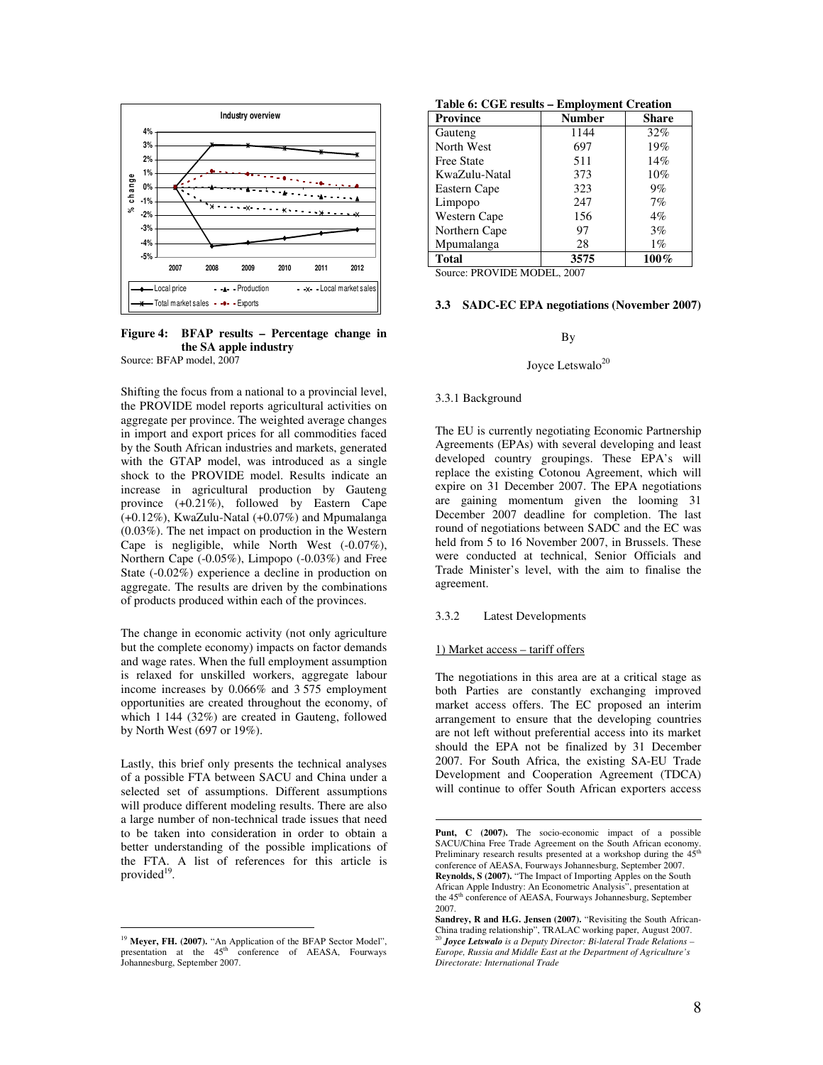



Shifting the focus from a national to a provincial level, the PROVIDE model reports agricultural activities on aggregate per province. The weighted average changes in import and export prices for all commodities faced by the South African industries and markets, generated with the GTAP model, was introduced as a single shock to the PROVIDE model. Results indicate an increase in agricultural production by Gauteng province (+0.21%), followed by Eastern Cape (+0.12%), KwaZulu-Natal (+0.07%) and Mpumalanga (0.03%). The net impact on production in the Western Cape is negligible, while North West (-0.07%), Northern Cape (-0.05%), Limpopo (-0.03%) and Free State (-0.02%) experience a decline in production on aggregate. The results are driven by the combinations of products produced within each of the provinces.

The change in economic activity (not only agriculture but the complete economy) impacts on factor demands and wage rates. When the full employment assumption is relaxed for unskilled workers, aggregate labour income increases by 0.066% and 3 575 employment opportunities are created throughout the economy, of which 1 144 (32%) are created in Gauteng, followed by North West (697 or 19%).

Lastly, this brief only presents the technical analyses of a possible FTA between SACU and China under a selected set of assumptions. Different assumptions will produce different modeling results. There are also a large number of non-technical trade issues that need to be taken into consideration in order to obtain a better understanding of the possible implications of the FTA. A list of references for this article is provided $1<sup>9</sup>$ .

 $\overline{a}$ 

| <b>Province</b>   | <b>Number</b> | <b>Share</b> |
|-------------------|---------------|--------------|
| Gauteng           | 1144          | 32%          |
| North West        | 697           | 19%          |
| <b>Free State</b> | 511           | 14%          |
| KwaZulu-Natal     | 373           | 10%          |
| Eastern Cape      | 323           | 9%           |
| Limpopo           | 247           | 7%           |
| Western Cape      | 156           | $4\%$        |
| Northern Cape     | 97            | 3%           |
| Mpumalanga        | 28            | $1\%$        |
| <b>Total</b>      | 3575          | 100%         |

Source: PROVIDE MODEL, 2007

#### **3.3 SADC-EC EPA negotiations (November 2007)**

#### By

#### Joyce Letswalo<sup>20</sup>

#### 3.3.1 Background

The EU is currently negotiating Economic Partnership Agreements (EPAs) with several developing and least developed country groupings. These EPA's will replace the existing Cotonou Agreement, which will expire on 31 December 2007. The EPA negotiations are gaining momentum given the looming 31 December 2007 deadline for completion. The last round of negotiations between SADC and the EC was held from 5 to 16 November 2007, in Brussels. These were conducted at technical, Senior Officials and Trade Minister's level, with the aim to finalise the agreement.

#### 3.3.2 Latest Developments

#### 1) Market access – tariff offers

-

The negotiations in this area are at a critical stage as both Parties are constantly exchanging improved market access offers. The EC proposed an interim arrangement to ensure that the developing countries are not left without preferential access into its market should the EPA not be finalized by 31 December 2007. For South Africa, the existing SA-EU Trade Development and Cooperation Agreement (TDCA) will continue to offer South African exporters access

<sup>&</sup>lt;sup>19</sup> Meyer, FH. (2007). "An Application of the BFAP Sector Model", presentation at the 45<sup>th</sup> conference of AEASA, Fourways Johannesburg, September 2007.

**Punt, C (2007).** The socio-economic impact of a possible SACU/China Free Trade Agreement on the South African economy. Preliminary research results presented at a workshop during the  $45<sup>th</sup>$ conference of AEASA, Fourways Johannesburg, September 2007. **Reynolds, S (2007).** "The Impact of Importing Apples on the South African Apple Industry: An Econometric Analysis", presentation at the 45<sup>th</sup> conference of AEASA, Fourways Johannesburg, September 2007.

**Sandrey, R and H.G. Jensen (2007).** "Revisiting the South African-China trading relationship", TRALAC working paper, August 2007. <sup>20</sup> *Joyce Letswalo is a Deputy Director: Bi-lateral Trade Relations – Europe, Russia and Middle East at the Department of Agriculture's Directorate: International Trade*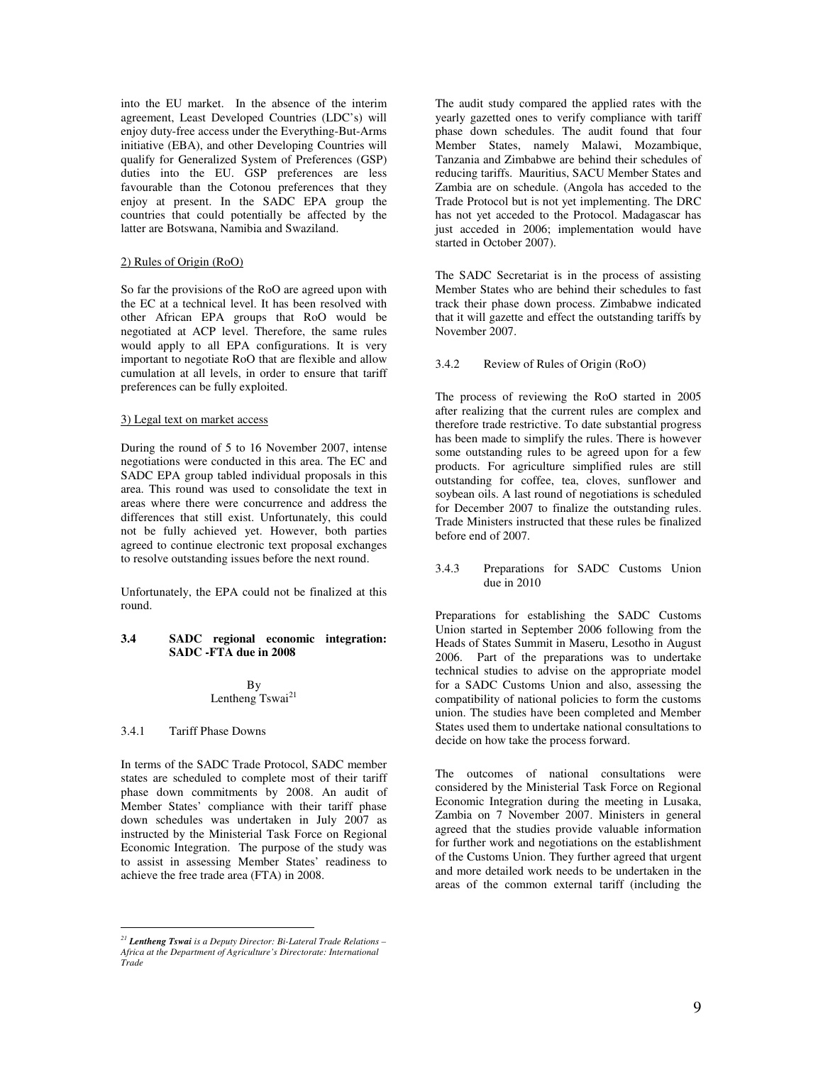into the EU market. In the absence of the interim agreement, Least Developed Countries (LDC's) will enjoy duty-free access under the Everything-But-Arms initiative (EBA), and other Developing Countries will qualify for Generalized System of Preferences (GSP) duties into the EU. GSP preferences are less favourable than the Cotonou preferences that they enjoy at present. In the SADC EPA group the countries that could potentially be affected by the latter are Botswana, Namibia and Swaziland.

## 2) Rules of Origin (RoO)

So far the provisions of the RoO are agreed upon with the EC at a technical level. It has been resolved with other African EPA groups that RoO would be negotiated at ACP level. Therefore, the same rules would apply to all EPA configurations. It is very important to negotiate RoO that are flexible and allow cumulation at all levels, in order to ensure that tariff preferences can be fully exploited.

## 3) Legal text on market access

During the round of 5 to 16 November 2007, intense negotiations were conducted in this area. The EC and SADC EPA group tabled individual proposals in this area. This round was used to consolidate the text in areas where there were concurrence and address the differences that still exist. Unfortunately, this could not be fully achieved yet. However, both parties agreed to continue electronic text proposal exchanges to resolve outstanding issues before the next round.

Unfortunately, the EPA could not be finalized at this round.

## **3.4 SADC regional economic integration: SADC -FTA due in 2008**

By Lentheng Tswai<sup>21</sup>

## 3.4.1 Tariff Phase Downs

 $\overline{a}$ 

In terms of the SADC Trade Protocol, SADC member states are scheduled to complete most of their tariff phase down commitments by 2008. An audit of Member States' compliance with their tariff phase down schedules was undertaken in July 2007 as instructed by the Ministerial Task Force on Regional Economic Integration. The purpose of the study was to assist in assessing Member States' readiness to achieve the free trade area (FTA) in 2008.

The audit study compared the applied rates with the yearly gazetted ones to verify compliance with tariff phase down schedules. The audit found that four Member States, namely Malawi, Mozambique, Tanzania and Zimbabwe are behind their schedules of reducing tariffs. Mauritius, SACU Member States and Zambia are on schedule. (Angola has acceded to the Trade Protocol but is not yet implementing. The DRC has not yet acceded to the Protocol. Madagascar has just acceded in 2006; implementation would have started in October 2007).

The SADC Secretariat is in the process of assisting Member States who are behind their schedules to fast track their phase down process. Zimbabwe indicated that it will gazette and effect the outstanding tariffs by November 2007.

## 3.4.2 Review of Rules of Origin (RoO)

The process of reviewing the RoO started in 2005 after realizing that the current rules are complex and therefore trade restrictive. To date substantial progress has been made to simplify the rules. There is however some outstanding rules to be agreed upon for a few products. For agriculture simplified rules are still outstanding for coffee, tea, cloves, sunflower and soybean oils. A last round of negotiations is scheduled for December 2007 to finalize the outstanding rules. Trade Ministers instructed that these rules be finalized before end of 2007.

## 3.4.3 Preparations for SADC Customs Union due in 2010

Preparations for establishing the SADC Customs Union started in September 2006 following from the Heads of States Summit in Maseru, Lesotho in August 2006. Part of the preparations was to undertake technical studies to advise on the appropriate model for a SADC Customs Union and also, assessing the compatibility of national policies to form the customs union. The studies have been completed and Member States used them to undertake national consultations to decide on how take the process forward.

The outcomes of national consultations were considered by the Ministerial Task Force on Regional Economic Integration during the meeting in Lusaka, Zambia on 7 November 2007. Ministers in general agreed that the studies provide valuable information for further work and negotiations on the establishment of the Customs Union. They further agreed that urgent and more detailed work needs to be undertaken in the areas of the common external tariff (including the

*<sup>21</sup> Lentheng Tswai is a Deputy Director: Bi-Lateral Trade Relations – Africa at the Department of Agriculture's Directorate: International Trade*